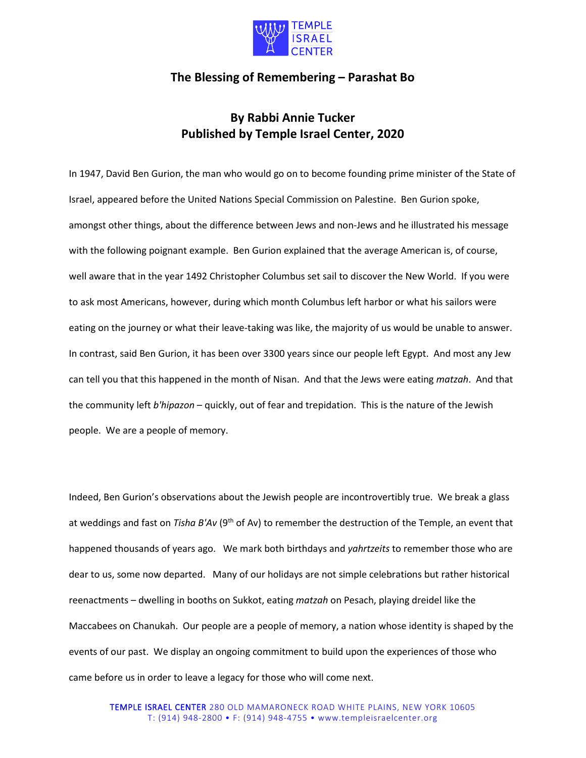

## **The Blessing of Remembering – Parashat Bo**

## **By Rabbi Annie Tucker Published by Temple Israel Center, 2020**

In 1947, David Ben Gurion, the man who would go on to become founding prime minister of the State of Israel, appeared before the United Nations Special Commission on Palestine. Ben Gurion spoke, amongst other things, about the difference between Jews and non-Jews and he illustrated his message with the following poignant example. Ben Gurion explained that the average American is, of course, well aware that in the year 1492 Christopher Columbus set sail to discover the New World. If you were to ask most Americans, however, during which month Columbus left harbor or what his sailors were eating on the journey or what their leave-taking was like, the majority of us would be unable to answer. In contrast, said Ben Gurion, it has been over 3300 years since our people left Egypt. And most any Jew can tell you that this happened in the month of Nisan. And that the Jews were eating *matzah*. And that the community left *b'hipazon* – quickly, out of fear and trepidation. This is the nature of the Jewish people. We are a people of memory.

Indeed, Ben Gurion's observations about the Jewish people are incontrovertibly true. We break a glass at weddings and fast on *Tisha B'Av* (9<sup>th</sup> of Av) to remember the destruction of the Temple, an event that happened thousands of years ago. We mark both birthdays and *yahrtzeits* to remember those who are dear to us, some now departed. Many of our holidays are not simple celebrations but rather historical reenactments – dwelling in booths on Sukkot, eating *matzah* on Pesach, playing dreidel like the Maccabees on Chanukah. Our people are a people of memory, a nation whose identity is shaped by the events of our past. We display an ongoing commitment to build upon the experiences of those who came before us in order to leave a legacy for those who will come next.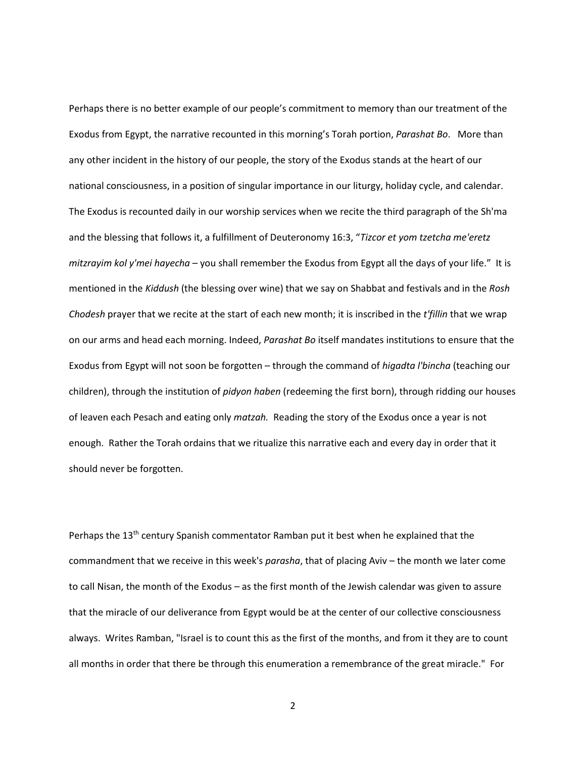Perhaps there is no better example of our people's commitment to memory than our treatment of the Exodus from Egypt, the narrative recounted in this morning's Torah portion, *Parashat Bo*. More than any other incident in the history of our people, the story of the Exodus stands at the heart of our national consciousness, in a position of singular importance in our liturgy, holiday cycle, and calendar. The Exodus is recounted daily in our worship services when we recite the third paragraph of the Sh'ma and the blessing that follows it, a fulfillment of Deuteronomy 16:3, "*Tizcor et yom tzetcha me'eretz mitzrayim kol y'mei hayecha* – you shall remember the Exodus from Egypt all the days of your life." It is mentioned in the *Kiddush* (the blessing over wine) that we say on Shabbat and festivals and in the *Rosh Chodesh* prayer that we recite at the start of each new month; it is inscribed in the *t'fillin* that we wrap on our arms and head each morning. Indeed, *Parashat Bo* itself mandates institutions to ensure that the Exodus from Egypt will not soon be forgotten – through the command of *higadta l'bincha* (teaching our children), through the institution of *pidyon haben* (redeeming the first born), through ridding our houses of leaven each Pesach and eating only *matzah.* Reading the story of the Exodus once a year is not enough. Rather the Torah ordains that we ritualize this narrative each and every day in order that it should never be forgotten.

Perhaps the  $13<sup>th</sup>$  century Spanish commentator Ramban put it best when he explained that the commandment that we receive in this week's *parasha*, that of placing Aviv – the month we later come to call Nisan, the month of the Exodus – as the first month of the Jewish calendar was given to assure that the miracle of our deliverance from Egypt would be at the center of our collective consciousness always. Writes Ramban, "Israel is to count this as the first of the months, and from it they are to count all months in order that there be through this enumeration a remembrance of the great miracle." For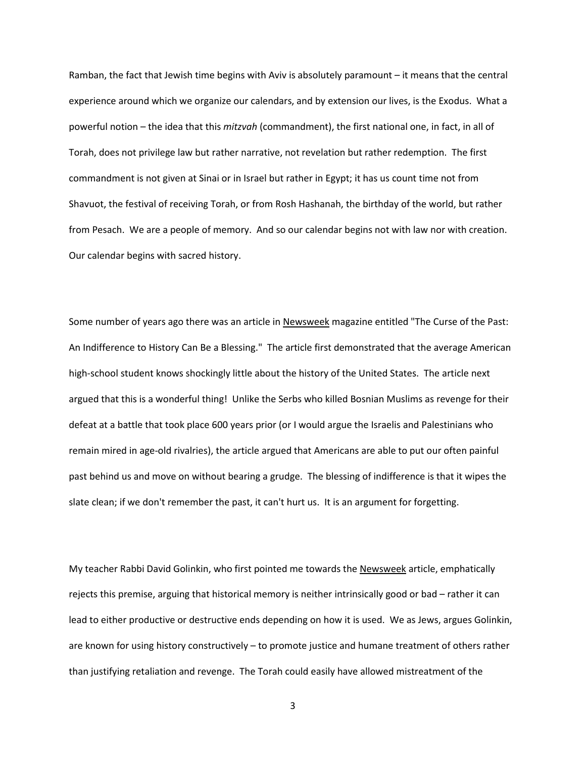Ramban, the fact that Jewish time begins with Aviv is absolutely paramount – it means that the central experience around which we organize our calendars, and by extension our lives, is the Exodus. What a powerful notion – the idea that this *mitzvah* (commandment), the first national one, in fact, in all of Torah, does not privilege law but rather narrative, not revelation but rather redemption. The first commandment is not given at Sinai or in Israel but rather in Egypt; it has us count time not from Shavuot, the festival of receiving Torah, or from Rosh Hashanah, the birthday of the world, but rather from Pesach. We are a people of memory. And so our calendar begins not with law nor with creation. Our calendar begins with sacred history.

Some number of years ago there was an article in Newsweek magazine entitled "The Curse of the Past: An Indifference to History Can Be a Blessing." The article first demonstrated that the average American high-school student knows shockingly little about the history of the United States. The article next argued that this is a wonderful thing! Unlike the Serbs who killed Bosnian Muslims as revenge for their defeat at a battle that took place 600 years prior (or I would argue the Israelis and Palestinians who remain mired in age-old rivalries), the article argued that Americans are able to put our often painful past behind us and move on without bearing a grudge. The blessing of indifference is that it wipes the slate clean; if we don't remember the past, it can't hurt us. It is an argument for forgetting.

My teacher Rabbi David Golinkin, who first pointed me towards the Newsweek article, emphatically rejects this premise, arguing that historical memory is neither intrinsically good or bad – rather it can lead to either productive or destructive ends depending on how it is used. We as Jews, argues Golinkin, are known for using history constructively – to promote justice and humane treatment of others rather than justifying retaliation and revenge. The Torah could easily have allowed mistreatment of the

3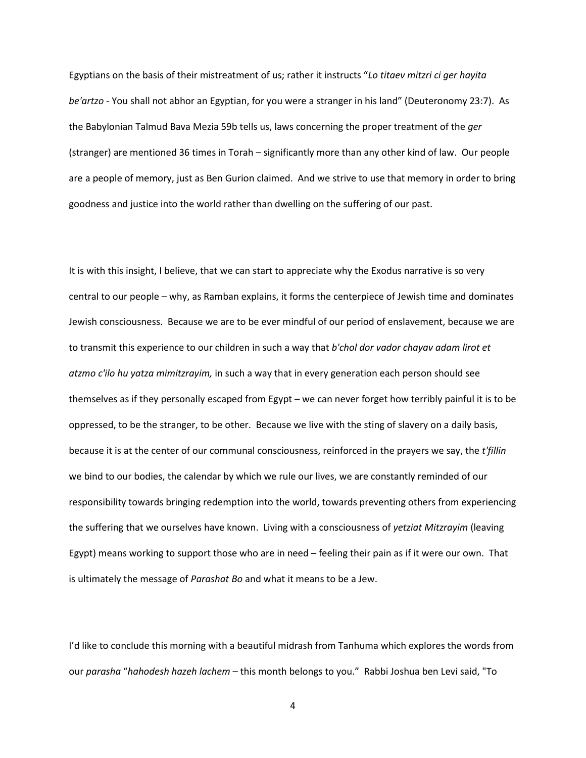Egyptians on the basis of their mistreatment of us; rather it instructs "*Lo titaev mitzri ci ger hayita be'artzo -* You shall not abhor an Egyptian, for you were a stranger in his land" (Deuteronomy 23:7). As the Babylonian Talmud Bava Mezia 59b tells us, laws concerning the proper treatment of the *ger*  (stranger) are mentioned 36 times in Torah – significantly more than any other kind of law. Our people are a people of memory, just as Ben Gurion claimed. And we strive to use that memory in order to bring goodness and justice into the world rather than dwelling on the suffering of our past.

It is with this insight, I believe, that we can start to appreciate why the Exodus narrative is so very central to our people – why, as Ramban explains, it forms the centerpiece of Jewish time and dominates Jewish consciousness. Because we are to be ever mindful of our period of enslavement, because we are to transmit this experience to our children in such a way that *b'chol dor vador chayav adam lirot et atzmo c'ilo hu yatza mimitzrayim,* in such a way that in every generation each person should see themselves as if they personally escaped from Egypt – we can never forget how terribly painful it is to be oppressed, to be the stranger, to be other. Because we live with the sting of slavery on a daily basis, because it is at the center of our communal consciousness, reinforced in the prayers we say, the *t'fillin* we bind to our bodies, the calendar by which we rule our lives, we are constantly reminded of our responsibility towards bringing redemption into the world, towards preventing others from experiencing the suffering that we ourselves have known. Living with a consciousness of *yetziat Mitzrayim* (leaving Egypt) means working to support those who are in need – feeling their pain as if it were our own. That is ultimately the message of *Parashat Bo* and what it means to be a Jew.

I'd like to conclude this morning with a beautiful midrash from Tanhuma which explores the words from our *parasha* "*hahodesh hazeh lachem* – this month belongs to you." Rabbi Joshua ben Levi said, "To